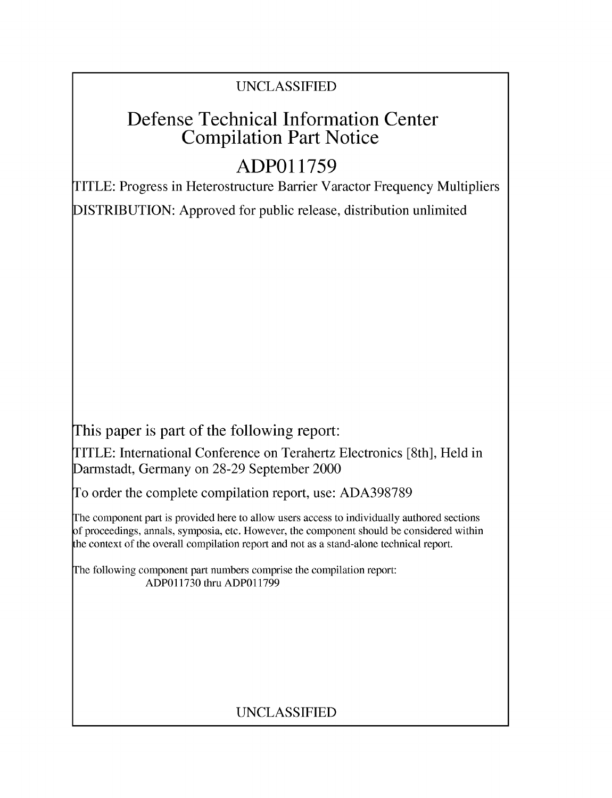### UNCLASSIFIED

## Defense Technical Information Center Compilation Part Notice

# **ADPO1 1759**

TITLE: Progress in Heterostructure Barrier Varactor Frequency Multipliers

DISTRIBUTION: Approved for public release, distribution unlimited

This paper is part of the following report:

TITLE: International Conference on Terahertz Electronics [8th], Held in Darmstadt, Germany on 28-29 September 2000

To order the complete compilation report, use: ADA398789

The component part is provided here to allow users access to individually authored sections f proceedings, annals, symposia, etc. However, the component should be considered within [he context of the overall compilation report and not as a stand-alone technical report.

The following component part numbers comprise the compilation report: ADPO11730 thru ADP011799

## UNCLASSIFIED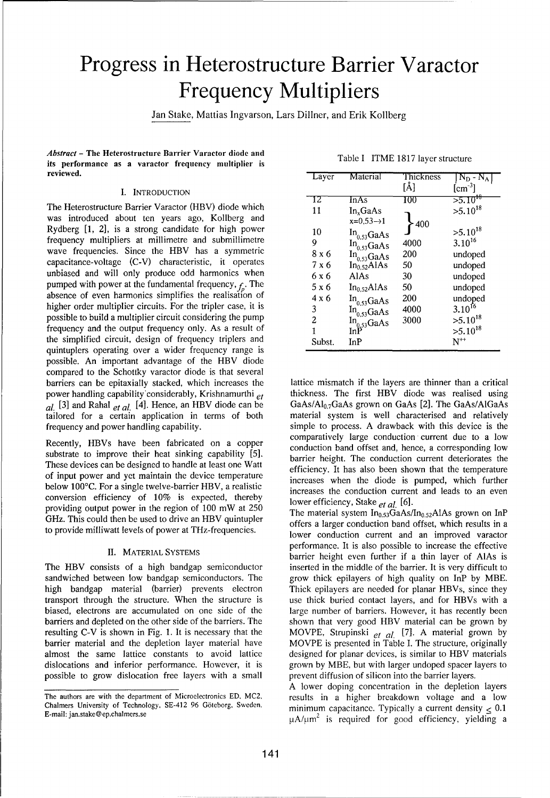# Progress in Heterostructure Barrier Varactor Frequency Multipliers

Jan Stake, Mattias Ingvarson, Lars Dillner, and Erik Kollberg

*Abstract* - The Heterostructure Barrier Varactor diode and its performance as a varactor frequency multiplier is reviewed. Lawer and the second temperature of the second temperature of the second temperature of the second tempe<br>Tayer Material Thickness J N<sub>D-</sub> N<sub>D</sub>

### $I.$  **INTRODUCTION**

The Heterostructure Barrier Varactor (HBV) diode which was introduced about ten years ago, Kollberg and Rydberg [1, 2], is a strong candidate for high power frequency multipliers at millimetre and submillimetre wave frequencies. Since the HBV has a symmetric capacitance-voltage (C-V) characteristic, it operates unbiased and will only produce odd harmonics when pumped with power at the fundamental frequency,  $f_n$ . The absence of even harmonics simplifies the realisation of higher order multiplier circuits. For the tripler case, it is possible to build a multiplier circuit considering the pump frequency and the output frequency only. As a result of the simplified circuit, design of frequency triplers and quintuplers operating over a wider frequency range is possible. An important advantage of the HBV diode compared to the Schottky varactor diode is that several barriers can be epitaxially stacked, which increases the lattice mismatch if the layers are thinner than a critical power handling capability'considerably, Krishnamurthi *et* thickness. The first HBV diode was realised using  $aI$ , [3] and Rahal *et al.* [4]. Hence, an HBV diode can be GaAs/Al<sub>0.7</sub>GaAs grown on GaAs [2]. The GaAs/AlGaAs and relatively cannot can be tailored for a certain application in terms of both material system is well cha tailored for a certain application in terms of both

substrate to improve their heat sinking capability [5]. Substrate to improve their heat sinking capability [5]. <br>These devices can be designed to handle at least one Watt efficiency. It has also been shown that the temperature of input power and yet maintain the device temperature below 100°C. For a single twelve-barrier HBV, a realistic increases when the diode is pumped, which further below 100°C. For a single twelve-barrier HBV, a realistic increases the conduction extract and look to an even below 100°C. For a single twelve-barrier HBV, a realistic<br>conversion efficiency of  $10\%$  is expected, thereby lower efficiency, Stake *et al.* [6]. providing output power in the region of 100 mW at 250 G= $\frac{G}{L}$ . This could then be used to drive an HBV quintupler The material system In<sub>0.53</sub>GaAs/In<sub>0.52</sub>AlAs grown on InP GHz. This could then be used to drive an HBV quintupler

The HBV consists of a high bandgap semiconductor inserted in the middle of the barrier. It is very difficult to sandwiched between low bandgap semiconductors. The grow thick epilayers of high quality on InP by MBE. high bandgap material (barrier) prevents electron Thick epilayers are needed for planar HBVs, since they transport through the structure. When the structure is use thick buried contact layers, and for HBVs with a biased, electrons are accumulated on one side of the large number of barriers. However, it has recently been barriers and depleted on the other side of the barriers. The shown that very good HBV material can be grown by resulting C-V is shown in Fig. 1. It is necessary that the MOVPE, Strupinski et al. [7]. A material grown by barrier material and the depletion layer material have MOVPE is presented in Table I. The structure, originally barrier material and the depletion layer material have almost the same lattice constants to avoid lattice designed for planar devices, is similar to HBV materials dislocations and inferior performance. However, it is grown by MBE, but with larger undoped spacer layers to possible to grow dislocation free layers with a small prevent diffusion of silicon into the barrier layers.

|  |  |  |  | Table I ITME 1817 layer structure |
|--|--|--|--|-----------------------------------|
|--|--|--|--|-----------------------------------|

| Layer  | Material                             | Thickness<br>[Å] | $\rm N_D$ - $\rm N_A$<br>$[cm^{-3}]$ |
|--------|--------------------------------------|------------------|--------------------------------------|
| 12     | InAs                                 | 100              | 55.10 <sup>18</sup>                  |
| 11     | In <sub>x</sub> GaAs                 |                  | $>5.10^{18}$                         |
|        | $x=0,53 \rightarrow 1$               | 400              |                                      |
| 10     | $In_{0.53}GaAs$                      |                  | $>5.10^{18}$                         |
| 9      | $In_{0.53}GaAs$                      | 4000             | $3.10^{16}$                          |
| 8 x 6  | $In_{0.53}$ GaAs                     | 200              | undoped                              |
| 7 x 6  | $In_{0,52}$ AlAs                     | 50               | undoped                              |
| 6 x 6  | AlAs                                 | 30               | undoped                              |
| 5 x 6  | In <sub>0.52</sub> AlAs              | 50               | undoped                              |
| 4 x 6  | $In_{0.53}GaAs$                      | 200              | undoped                              |
| 3      | $In_{0,53}GaAs$                      | 4000             | $3.10^{16}$                          |
| 2      | $\text{In}_{0.53}^{\text{max}}$ GaAs | 3000             | $>5.10^{18}$                         |
| 1      |                                      |                  | $>5.10^{18}$                         |
| Subst. | InP                                  |                  | $N^{++}$                             |

 $GaAs / Al<sub>0.7</sub>GaAs$  grown on GaAs [2]. The GaAs/AlGaAs frequency and power handling capability. Simple to process. A drawback with this device is the comparatively large conduction current due to a low Recently, HBVs have been fabricated on a copper comparatively large conduction can be a corresponding low

to provide milliwatt levels of power at THz-frequencies.<br>Some conduction current and an improved varactor current and an improved varactor performance. It is also possible to increase the effective II. MATERIAL SYSTEMS barrier height even further if a thin layer of AlAs is

A lower doping concentration in the depletion layers The authors are with the department of Microelectronics ED, MC2, results in a higher breakdown voltage and a low Chalmers University of Technology, SE-412 96 Göteborg, Sweden.<br>
E-mail: jan.stake@ep.chalmers.se particle parall: jan.stake@ep.chalmers.se parall: jan.stake@ep.chalmers.se parall: jan.stake@ep.chalmers.se

Chalmers University of Technology, SE-412 96 Göteborg, Sweden,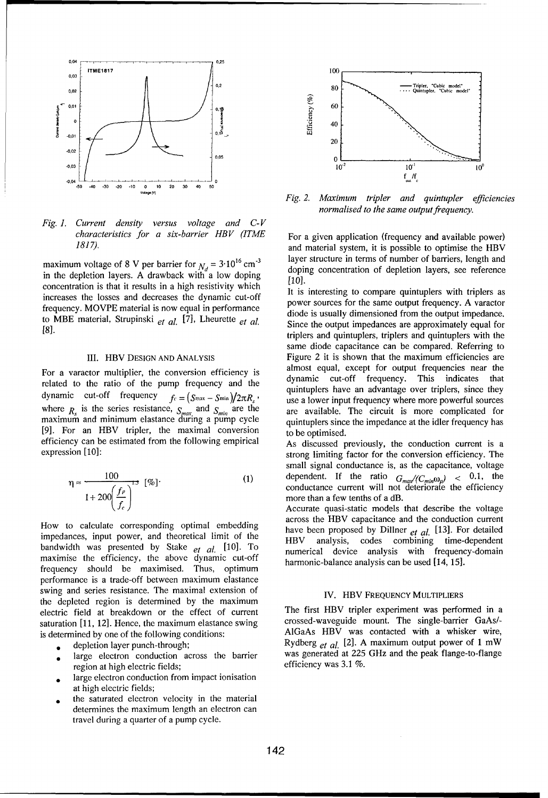

*Fig. 1. Current density versus voltage and C-V characteristics for a six-barrier HBV (ITME* For a given application (frequency and available power)

concentration is that it results in a high resistivity which **interesting to compare quintuplers** with triplers as increases the losses and decreases the dynamic cut-off power sources for the same output frequency. A varactor frequency. MOVPE material is now equal in performance<br>diode is usually dimensioned from the output impedance. to MBE material, Strupinski et al. [7], Lheurette et al. Since the output impedances are approximately equal for

related to the ratio of the pump frequency and the dynamic cut-off frequency. This indicates that related to the ratio of the pump frequency and the quintuplers have an advantage over triplers, since they  $\frac{d}{dt}$  cut-off frequency  $f_c = (S_{\text{max}} - S_{\text{min}})/2\pi R$ , use a lower input frequency where more powerful sources where  $R<sub>i</sub>$  is the series resistance,  $S<sub>min</sub>$  and  $S<sub>min</sub>$  are the are available. The circuit is more complicated for maximum and minimum elastance during a pump cycle quintuplers since the impedance at the idler frequency has maximum and minimum elastance during a pump cycle quintuplers since the impedance at the idler frequency has <br>[9]. For an HBV tripler, the maximal conversion to be optimised. efficiency can be estimated from the following empirical As discussed previously, the conduction current is a

$$
\eta \approx \frac{100}{1 + 200 \left(\frac{f_p}{f_c}\right)^{1.5}} \quad \text{[%]}.
$$

How to calculate corresponding optimal embedding<br>impedances, input power, and theoretical limit of the HBV analysis, codes combining time-dependent<br>hardwidth was analysisted by State of the Formulation of the Formulation o  $\frac{1}{2}$  bandwidth was presented by Stake *et al.* [10]. To **numerical dovice analysis** with frequency-domandpandwidth was presented by stake  $et$  al.  $1^{10}$ . To a numerical device analysis with frequently maximise the efficiency, the above dynamic cut-off barmonic belonge analysis can be used  $[14, 15]$ frequency should be maximised. Thus, optimum performance is a trade-off between maximum elastance swing and series resistance. The maximal extension of IV. HBV FREQUENCY MULTIPLIERS the depleted region is determined by the maximum electric field at breakdown or the effect of current The first HBV tripler experiment was performed in a<br>saturation [11 12] Hence the maximum elastance swing crossed-waveguide mount. The single-barrier GaAs/saturation  $[11, 12]$ . Hence, the maximum elastance swing is determined by one of the following conditions:<br>AlGaAs HBV was contacted with a whisker wire,

- 
- region at high electric fields; efficiency was 3.1 %.
- large electron conduction from impact ionisation at high electric fields;
- the saturated electron velocity in the material determines the maximum length an electron can travel during a quarter of a pump cycle.



**-50 .40 -30 .20 -10 0 10 20 30** 40 **<sup>50</sup>** *Fig. 2. Maximum tripler and quintupler efficiencies normalised to the same output frequency.*

*1817).* and material system, it is possible to optimise the HBV layer structure in terms of number of barriers, length and maximum voltage of 8 V per barrier for  $N_d = 3.10^{16}$  cm<sup>-3</sup> layer structure in terms of number of barriers, length and<br>in the depletion layers. A drawback with a low doping concentration of depletion layers, see referenc

[8]. triplers and quintuplers, triplers and quintuplers with the same diode capacitance can be compared. Referring to III. HBV DESIGN AND ANALYSIS Figure 2 it is shown that the maximum efficiencies are almost equal, except for output frequencies near the For a varactor multiplier, the conversion efficiency is almost equal, except for output frequencies near the related to the ratio of the numerical frequency and the dynamic cut-off frequency. This indicates that

expression [10]: strong limiting factor for the conversion efficiency. The small signal conductance is, as the capacitance, voltage 100 .  $\alpha$  **b**  $\alpha$  **c**  $\alpha$  **c**  $\alpha$  **c**  $\alpha$  **c**  $\alpha$  **c**  $\alpha$  **c**  $\alpha$  **c**  $\alpha$  **c**  $\alpha$  **c**  $\alpha$  **c**  $\alpha$  **c**  $\alpha$  **c**  $\alpha$  **c**  $\alpha$  **c**  $\alpha$  **c**  $\alpha$  **c**  $\alpha$  **c**  $\alpha$  **c**  $\alpha$  **c**  $\alpha$  **c**  $\alpha$  **c**  $\alpha$  **c**  $\alpha$  **c** conductance current will not deteriorate the efficiency more than a few tenths of a dB.

Accurate quasi-static models that describe the voltage How to calculate corresponding optimal embedding across the HBV capacitance and the conduction current<br>Filter and Englished across the HBV capacitance and the conduction current

depletion layer punch-through; Rydberg  $_{et}$  al.  $[2]$ . A maximum output power of 1 mW a large electron conduction across the barrier was generated at 225 GHz and the peak flange-to-flange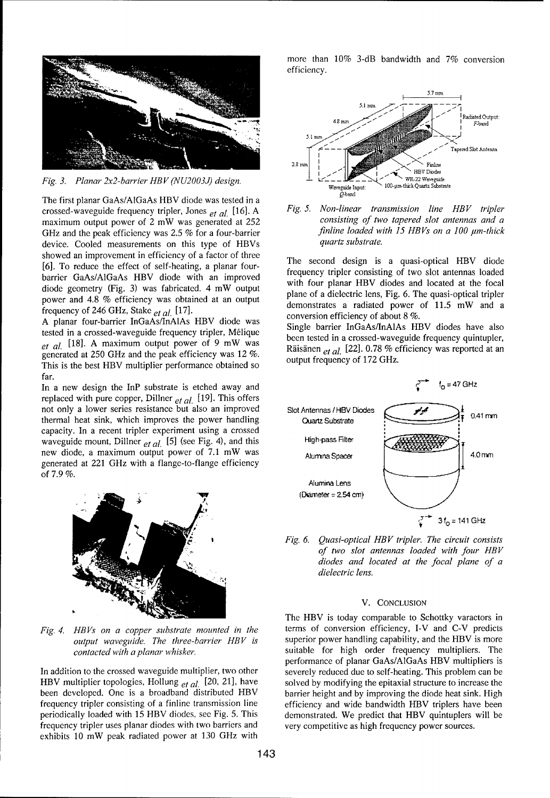

*Fig. 3. Planar 2x2-barrier HBV (NU2003J) design.*  $\frac{1}{2}$   $\frac{1}{2}$   $\frac{1}{2}$   $\frac{1}{2}$   $\frac{1}{2}$   $\frac{1}{2}$  WR-22 Waveguid

The first planar GaAs/A1GaAs HBV diode was tested in a crossed-waveguide frequency tripler, Jones *et al.* [16]. A *Fig. 5. Non-linear transmission line HBV tripler* maximum output power of 2 mW was generated at 252 *consisting of two tapered slot antennas and a*<br>GHz and the peak efficiency was 2.5 % for a four-barrier *finline loaded with 15 HBVs on a 100 µm-thick* GHz and the peak efficiency was 2.5 % for a four-barrier *finline loaded w*<br>device Cooled measurements on this type of HBVs quartz substrate. device. Cooled measurements on this type of HBVs showed an improvement in efficiency of a factor of three The second design is a quasi-optical HBV diode [6]. To reduce the effect of self-heating, a planar four-<br>barrier GaAs/AIGaAs HBV diode with an improved frequency tripler consisting of two slot antennas loaded<br>with four planes HBV diode and loaded at the focal barier Garstricans Tip v diode with an improved<br>diode geometry (Fig. 3) was fabricated. 4 mW output plane of a dielectric lens, Fig. 6. The quasi-optical tripler power and 4.8 % efficiency was obtained at an output<br>demonstrates a radiated power of 11.5 mW and a frequency of 246 GHz, Stake *et al.* [171. conversion efficiency of about 8 **%.**

A planar four-barrier InGaAs/InAlAs HBV diode was Single barrier InGaAs/InAlAs HBV diodes have also tested in a crossed-waveguide frequency tripler, Mélique been tested in a crossed-waveguide frequency quintupler, et al. [18]. A maximum output power of 9 mW was<br>concerted at 250 GHz and the poek officiency was 12 %<br>exponented at an generated at 250 GHz and the peak efficiency was 12 %.<br> **Rupisfield** at a least  $\frac{12}{2}$  and the peak efficiency was 12 %.<br> **Rupisfield** at a least  $\frac{12}{2}$  GHz. This is the best HBV multiplier performance obtained so far.

replaced with pure copper, Dillner *et al.* [19]. This offers not only a lower series resistance but also an improved Slot Antennas / HBV Diodes capacity. In a recent tripler experiment using a crossed waveguide mount, Dillner *et al.* [5] (see Fig. 4), and this High-pass Filter new diode, a maximum output power of 7.1 mW was AlumnaSpacer AlumnaSpacer 1.0 rm generated at 221 GHz with a flange-to-flange efficiency of 7.9 %.



HBV multiplier topologies, Hollung <sub>et al.</sub> [20, 21], have solved by modifying the epitaxial structure to increase the been developed. One is a broadband distributed HBV barrier height and by improving the diode heat sink. High frequency tripler consisting of a finline transmission line efficiency and wide bandwidth HBV triplers have been periodically loaded with 15 HBV diodes, see Fig. 5. This demonstrated. We predict that HBV quintuplers will be frequency tripler uses planar diodes with two barriers and very competitive as high frequency power sources. exhibits 10 mW peak radiated power at 130 GHz with

more than 10% 3-dB bandwidth and 7% conversion efficiency.





*Fig. 6. Quasi-optical HBV tripler. The circuit consists of two slot antennas loaded with four HB V diodes and located at the focal plane of a dielectric lens.*

### V. CONCLUSION

The HBV is today comparable to Schottky varactors in *Fig. 4. HBVs on a copper substrate mounted in the* terms of conversion efficiency, I-V and C-V predicts *output waveguide. The three-barrier HBV is* superior power handling capability, and the HBV is more *contacted with a planar whisker,* suitable for high order frequency multipliers. The performance of planar GaAs/A1GaAs HBV multipliers is In addition to the crossed waveguide multiplier, two other severely reduced due to self-heating. This problem can be